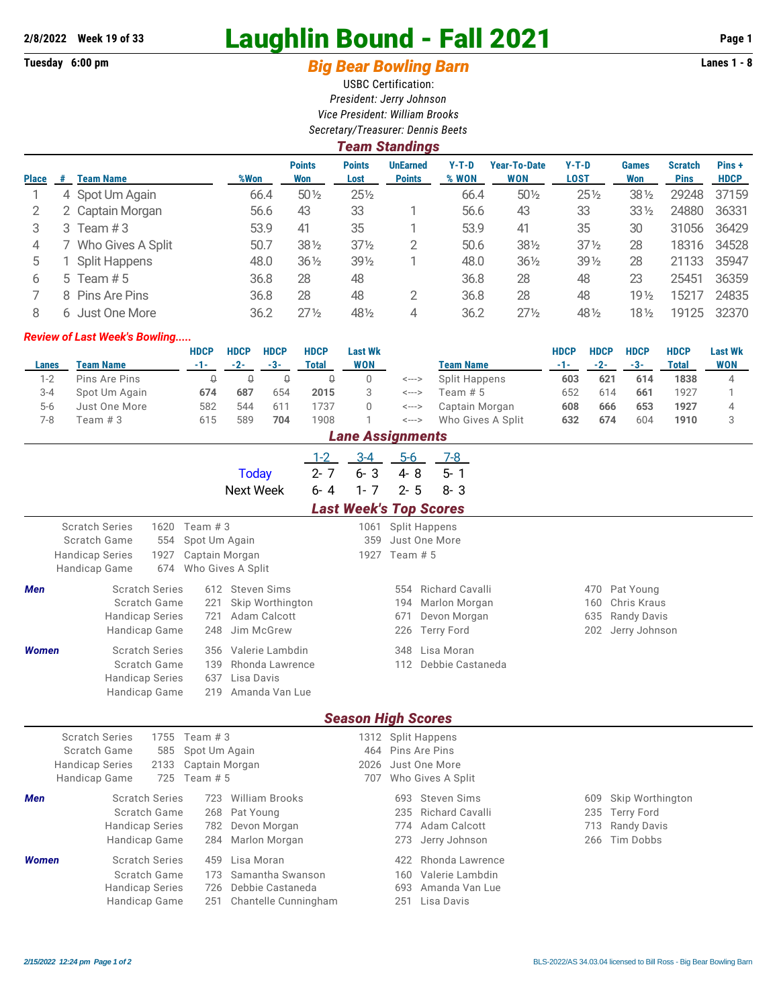## **2/8/2022 Week 19 of 33** Laughlin Bound - Fall 2021 **Page 1**

## Tuesday 6:00 pm **Big Bear Bowling Barn Barn Lanes 1 - 8**

USBC Certification: *President: Jerry Johnson Vice President: William Brooks Secretary/Treasurer: Dennis Beets*

|              | <b>Team Standings</b> |                      |      |                      |                       |                                  |                  |                                   |                 |                     |                               |                      |  |  |
|--------------|-----------------------|----------------------|------|----------------------|-----------------------|----------------------------------|------------------|-----------------------------------|-----------------|---------------------|-------------------------------|----------------------|--|--|
| <b>Place</b> | #                     | <b>Team Name</b>     | %Won | <b>Points</b><br>Won | <b>Points</b><br>Lost | <b>UnEarned</b><br><b>Points</b> | $Y-T-D$<br>% WON | <b>Year-To-Date</b><br><b>WON</b> | $Y-T-D$<br>LOST | <b>Games</b><br>Won | <b>Scratch</b><br><b>Pins</b> | Pins+<br><b>HDCP</b> |  |  |
|              |                       | 4 Spot Um Again      | 66.4 | $50\%$               | $25\frac{1}{2}$       |                                  | 66.4             | $50\%$                            | $25\frac{1}{2}$ | $38\frac{1}{2}$     | 29248                         | 37159                |  |  |
|              |                       | 2 Captain Morgan     | 56.6 | 43                   | 33                    |                                  | 56.6             | 43                                | 33              | $33\frac{1}{2}$     | 24880                         | 36331                |  |  |
| 3            | 3                     | Team #3              | 53.9 | 41                   | 35                    |                                  | 53.9             | 41                                | 35              | 30                  | 31056                         | 36429                |  |  |
| 4            |                       | Who Gives A Split    | 50.7 | $38\frac{1}{2}$      | $37\frac{1}{2}$       | 2                                | 50.6             | 381/2                             | $37\frac{1}{2}$ | 28                  | 18316                         | 34528                |  |  |
| 5            |                       | <b>Split Happens</b> | 48.0 | $36\frac{1}{2}$      | $39\frac{1}{2}$       |                                  | 48.0             | $36\frac{1}{2}$                   | $39\%$          | 28                  | 21133                         | 35947                |  |  |
| 6            |                       | 5 Team $# 5$         | 36.8 | 28                   | 48                    |                                  | 36.8             | 28                                | 48              | 23                  | 25451                         | 36359                |  |  |
|              |                       | 8 Pins Are Pins      | 36.8 | 28                   | 48                    | 2                                | 36.8             | 28                                | 48              | 19 <sub>2</sub>     | 15217                         | 24835                |  |  |
| 8            | 6.                    | Just One More        | 36.2 | $27\frac{1}{2}$      | 481/2                 | 4                                | 36.2             | $27\frac{1}{2}$                   | 48 1/2          | 18½                 | 19125                         | 32370                |  |  |

## *Review of Last Week's Bowling.....*

|         |                  | <b>HDCP</b> | <b>HDCP</b> | <b>HDCP</b> | <b>HDCP</b> | <b>Last Wk</b> |       |                   | HDCP | <b>HDCP</b> | <b>HDCP</b> | <b>HDCP</b> | <b>Last Wk</b> |
|---------|------------------|-------------|-------------|-------------|-------------|----------------|-------|-------------------|------|-------------|-------------|-------------|----------------|
| Lanes   | <b>Team Name</b> | -1-1        | $-2-$       | $-3-$       | Total       | WON            |       | <b>Team Name</b>  | -1-  | $-2-$       | $-3-$       | Total       | <b>WON</b>     |
| $1 - 2$ | Pins Are Pins    |             |             |             |             |                | <---> | Split Happens     | 603  | 621         | 614         | 1838        |                |
| $3 - 4$ | Spot Um Again    | 674         | 687         | 654         | 2015        |                | <---> | Team # 5          | 652  | 614         | 661         | 1927        |                |
| $5-6$   | Just One More    | 582         | 544         | 611         | 737         |                | <---> | Captain Morgan    | 608  | 666         | 653         | 1927        |                |
| 7-8     | Team # 3         | 615         | 589         | 704         | 1908        |                | <---> | Who Gives A Split | 632  | 674         | 604         | 1910        |                |

| <b>Lane Assignments</b>                                                          |                                                                                                                                                                                    |                            |                                                                   |                                                                            |         |                               |                                                      |                                |                                                                        |  |                          |                                                                          |
|----------------------------------------------------------------------------------|------------------------------------------------------------------------------------------------------------------------------------------------------------------------------------|----------------------------|-------------------------------------------------------------------|----------------------------------------------------------------------------|---------|-------------------------------|------------------------------------------------------|--------------------------------|------------------------------------------------------------------------|--|--------------------------|--------------------------------------------------------------------------|
|                                                                                  |                                                                                                                                                                                    |                            |                                                                   |                                                                            | $1 - 2$ | $3-4$                         | $5-6$                                                |                                | 7-8                                                                    |  |                          |                                                                          |
|                                                                                  |                                                                                                                                                                                    |                            |                                                                   | <b>Today</b>                                                               | $2 - 7$ | $6 - 3$                       | $4 - 8$                                              |                                | $5 - 1$                                                                |  |                          |                                                                          |
|                                                                                  |                                                                                                                                                                                    |                            |                                                                   | <b>Next Week</b>                                                           | $6 - 4$ | $1 - 7$                       | $2 - 5$                                              |                                | $8 - 3$                                                                |  |                          |                                                                          |
|                                                                                  |                                                                                                                                                                                    |                            |                                                                   |                                                                            |         | <b>Last Week's Top Scores</b> |                                                      |                                |                                                                        |  |                          |                                                                          |
| <b>Scratch Series</b><br>Scratch Game<br><b>Handicap Series</b><br>Handicap Game |                                                                                                                                                                                    | 1620<br>554<br>1927<br>674 | Team $#3$<br>Spot Um Again<br>Captain Morgan<br>Who Gives A Split |                                                                            |         | 359<br>1927                   | 1061 Split Happens<br>Just One More<br>Team $# 5$    |                                |                                                                        |  |                          |                                                                          |
| <b>Men</b>                                                                       | <b>Scratch Series</b><br>Scratch Game<br><b>Handicap Series</b><br>Handicap Game                                                                                                   |                            | 221<br>721<br>248                                                 | 612 Steven Sims<br>Skip Worthington<br>Adam Calcott<br>Jim McGrew          |         |                               | 554<br>194<br>671<br>226                             |                                | Richard Cavalli<br>Marlon Morgan<br>Devon Morgan<br><b>Terry Ford</b>  |  | 470<br>160<br>635<br>202 | Pat Young<br>Chris Kraus<br><b>Randy Davis</b><br>Jerry Johnson          |
| <b>Women</b>                                                                     | <b>Scratch Series</b><br>Valerie Lambdin<br>356<br>Scratch Game<br>Rhonda Lawrence<br>139<br>Lisa Davis<br><b>Handicap Series</b><br>637<br>Amanda Van Lue<br>Handicap Game<br>219 |                            |                                                                   |                                                                            |         | 348<br>112                    |                                                      | Lisa Moran<br>Debbie Castaneda |                                                                        |  |                          |                                                                          |
|                                                                                  |                                                                                                                                                                                    |                            |                                                                   |                                                                            |         | <b>Season High Scores</b>     |                                                      |                                |                                                                        |  |                          |                                                                          |
| <b>Scratch Series</b><br>Scratch Game<br><b>Handicap Series</b><br>Handicap Game |                                                                                                                                                                                    | 1755<br>585<br>2133<br>725 | Team $#3$<br>Spot Um Again<br>Captain Morgan<br>Team $# 5$        |                                                                            |         | 464<br>2026<br>707            | 1312 Split Happens<br>Pins Are Pins<br>Just One More |                                | Who Gives A Split                                                      |  |                          |                                                                          |
| Men                                                                              | <b>Scratch Series</b><br>Scratch Game<br><b>Handicap Series</b><br>Handicap Game                                                                                                   |                            | 723<br>268<br>782<br>284                                          | <b>William Brooks</b><br>Pat Young<br>Devon Morgan<br>Marlon Morgan        |         |                               | 693<br>235<br>774<br>273                             |                                | <b>Steven Sims</b><br>Richard Cavalli<br>Adam Calcott<br>Jerry Johnson |  | 609<br>235<br>713<br>266 | Skip Worthington<br><b>Terry Ford</b><br><b>Randy Davis</b><br>Tim Dobbs |
| <b>Women</b>                                                                     | <b>Scratch Series</b><br>Scratch Game<br><b>Handicap Series</b><br>Handicap Game                                                                                                   |                            | 459<br>173<br>726<br>251                                          | Lisa Moran<br>Samantha Swanson<br>Debbie Castaneda<br>Chantelle Cunningham |         |                               | 422<br>160<br>693<br>251                             |                                | Rhonda Lawrence<br>Valerie Lambdin<br>Amanda Van Lue<br>Lisa Davis     |  |                          |                                                                          |